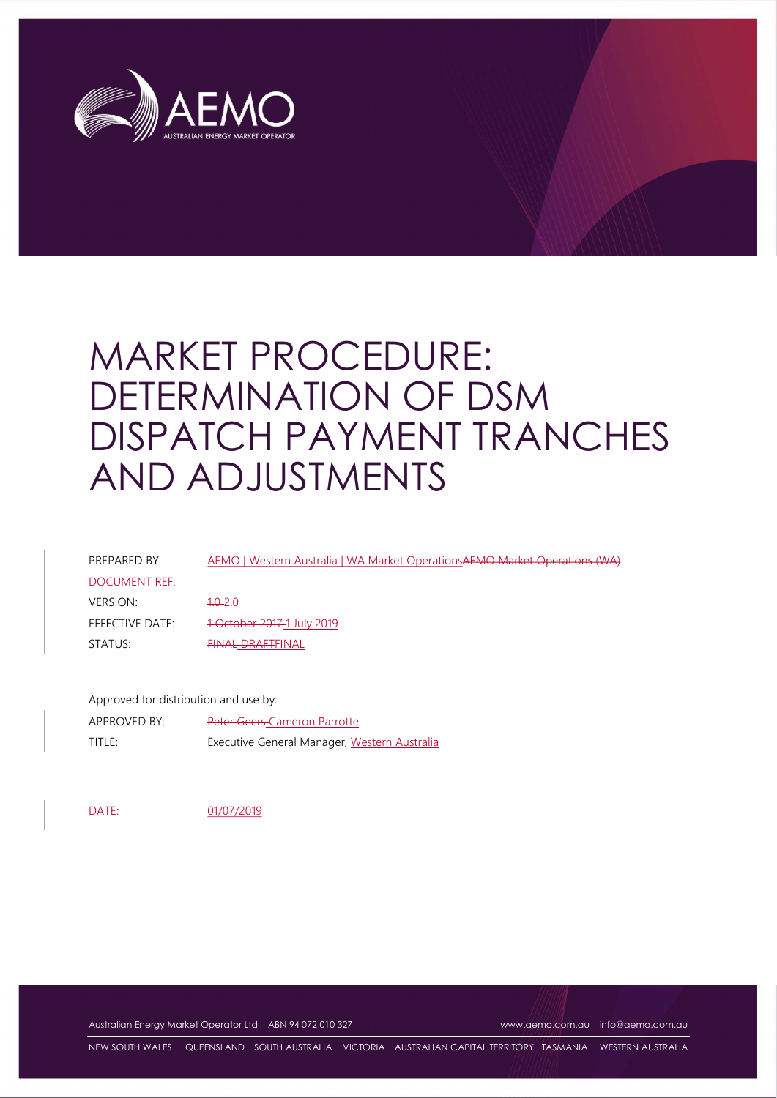

| AEMO   Western Australia   WA Market OperationsAEMO Market Operations (WA) |
|----------------------------------------------------------------------------|
|                                                                            |
| <del>1.0 2</del> .0                                                        |
| <del>1 October 2017</del> -1 July 2019                                     |
| <b>FINAL DRAFTFINAL</b>                                                    |
|                                                                            |

Approved for distribution and use by: APPROVED BY: Peter Geers Cameron Parrotte TITLE: Executive General Manager, Western Australia

DATE: 01/07/2019

Australian Energy Market Operator Ltd ABN 94 072 010 327 www.aemo.com.au info@aemo.com.au

NEW SOUTH WALES QUEENSLAND SOUTH AUSTRALIA VICTORIA AUSTRALIAN CAPITAL TERRITORY TASMANIA WESTERN AUSTRALIA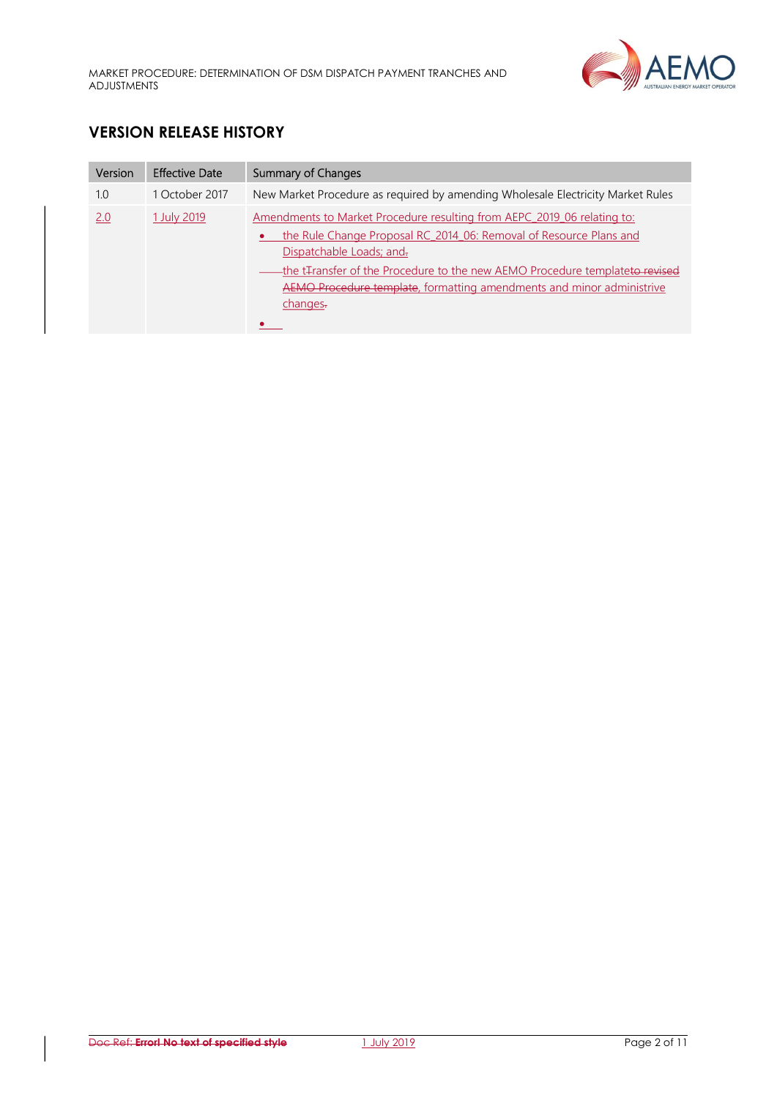

# VERSION RELEASE HISTORY

| Version | <b>Effective Date</b> | <b>Summary of Changes</b>                                                                                                                                                                                                                                                                                                                                |
|---------|-----------------------|----------------------------------------------------------------------------------------------------------------------------------------------------------------------------------------------------------------------------------------------------------------------------------------------------------------------------------------------------------|
| 1.0     | 1 October 2017        | New Market Procedure as required by amending Wholesale Electricity Market Rules                                                                                                                                                                                                                                                                          |
| 2.0     | 1 July 2019           | Amendments to Market Procedure resulting from AEPC 2019 06 relating to:<br>the Rule Change Proposal RC 2014 06: Removal of Resource Plans and<br>Dispatchable Loads; and.<br>the t <sub>ransfer</sub> of the Procedure to the new AEMO Procedure templateto revised<br>AEMO Procedure template, formatting amendments and minor administrive<br>changes. |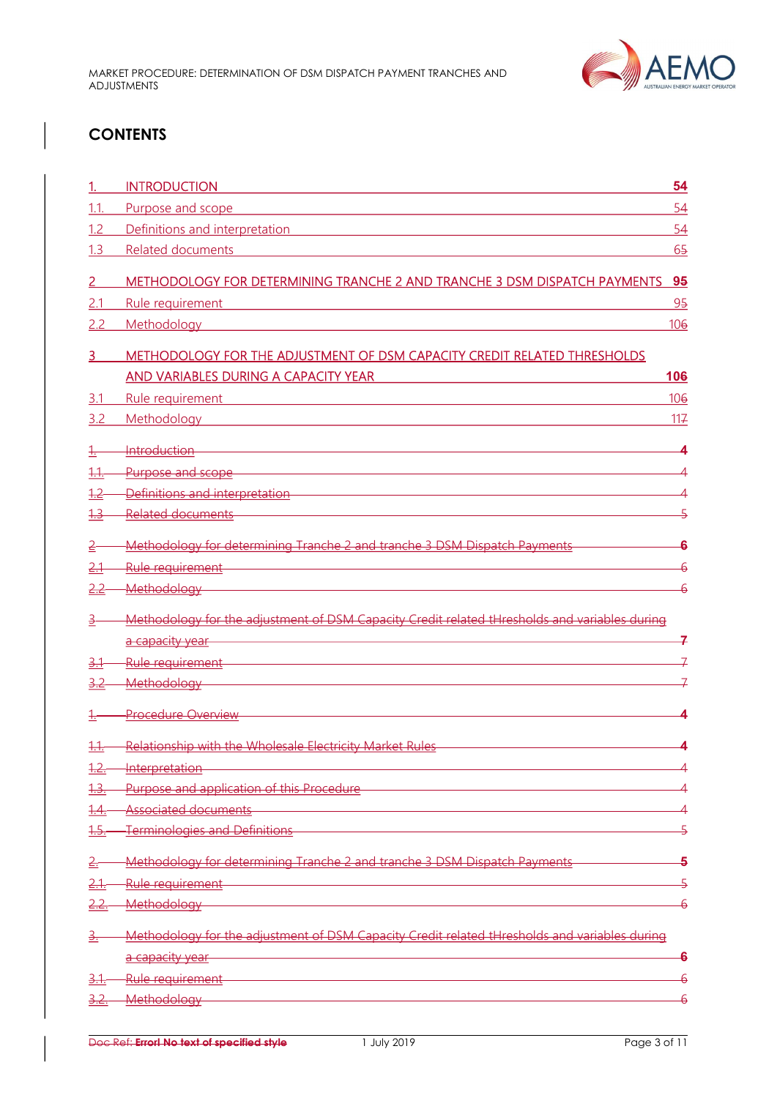

# **CONTENTS**

|             | <b>INTRODUCTION</b>                                                                           | 54                  |
|-------------|-----------------------------------------------------------------------------------------------|---------------------|
| 1.1         | Purpose and scope                                                                             | 54                  |
| 1.2         | Definitions and interpretation                                                                | 54                  |
| 1.3         | <b>Related documents</b>                                                                      | 65                  |
| 2           | <b>METHODOLOGY FOR DETERMINING TRANCHE 2 AND TRANCHE 3 DSM DISPATCH PAYMENTS</b>              | 95                  |
| 2.1         | Rule requirement                                                                              | 95                  |
| 2.2         | Methodology                                                                                   | 106                 |
|             |                                                                                               |                     |
| 3           | METHODOLOGY FOR THE ADJUSTMENT OF DSM CAPACITY CREDIT RELATED THRESHOLDS                      |                     |
|             | <b>AND VARIABLES DURING A CAPACITY YEAR</b>                                                   | 106                 |
| 3.1         | Rule requirement                                                                              | 106                 |
| 3.2         | Methodology                                                                                   | 117                 |
| ₩           |                                                                                               |                     |
| $\pm 1$     | Purpose and scope                                                                             |                     |
| 1.2         | Definitions and interpretation                                                                |                     |
| 1.3         | Related documents                                                                             |                     |
|             | Methodology for determining Tranche 2 and tranche 3 DSM Dispatch Payments                     |                     |
| 2.1         | Rule requirement                                                                              | 6                   |
| 2.2         | <u> 1989 - Johann Stoff, amerikansk politiker (d. 1989)</u><br>Methodology                    | 6                   |
|             |                                                                                               |                     |
| 3.          | Methodology for the adjustment of DSM Capacity Credit related tHresholds and variables during |                     |
|             | a capacity year                                                                               | z                   |
| $-3.1$      | Rule requirement                                                                              | Z                   |
| 3.2         | Methodology                                                                                   |                     |
| ₩           | Procedure Overview                                                                            |                     |
|             |                                                                                               |                     |
| $+1.1$      | Relationship with the Wholesale Electricity Market Rules                                      |                     |
| <u>1.2.</u> | <u>Interpretation</u>                                                                         |                     |
| 1.3.        | Purpose and application of this Procedure                                                     |                     |
| <u>1.4.</u> | <b>Associated documents</b>                                                                   |                     |
| 1.5.        | <b>Terminologies and Definitions</b>                                                          |                     |
|             | Methodology for determining Tranche 2 and tranche 3 DSM Dispatch Payments                     | 5                   |
| 2.1         | Rule requirement                                                                              | 5                   |
| 2.2.        | Methodology                                                                                   | 6                   |
| З.          | Methodology for the adjustment of DSM Capacity Credit related tHresholds and variables during |                     |
|             | a capacity year                                                                               | 6                   |
| <u>3.1.</u> | Rule requirement                                                                              | 6                   |
| 3.2.        | Methodology                                                                                   | $\overline{\Theta}$ |
|             |                                                                                               |                     |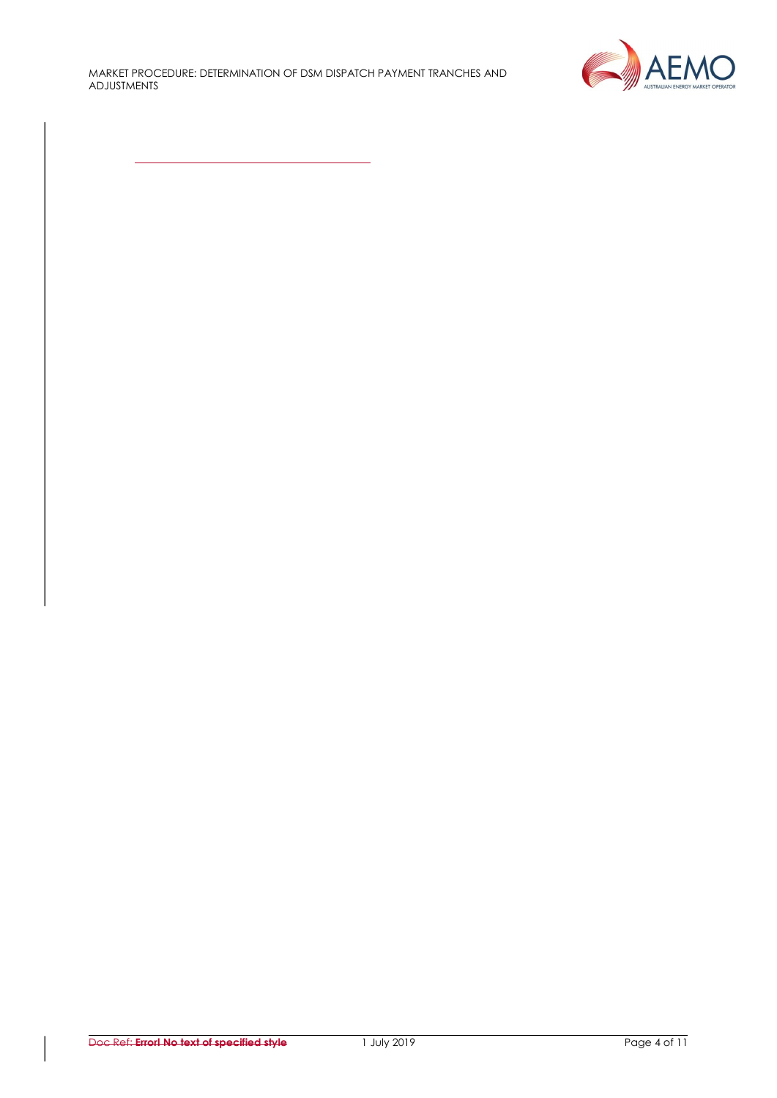

 $\overline{a}$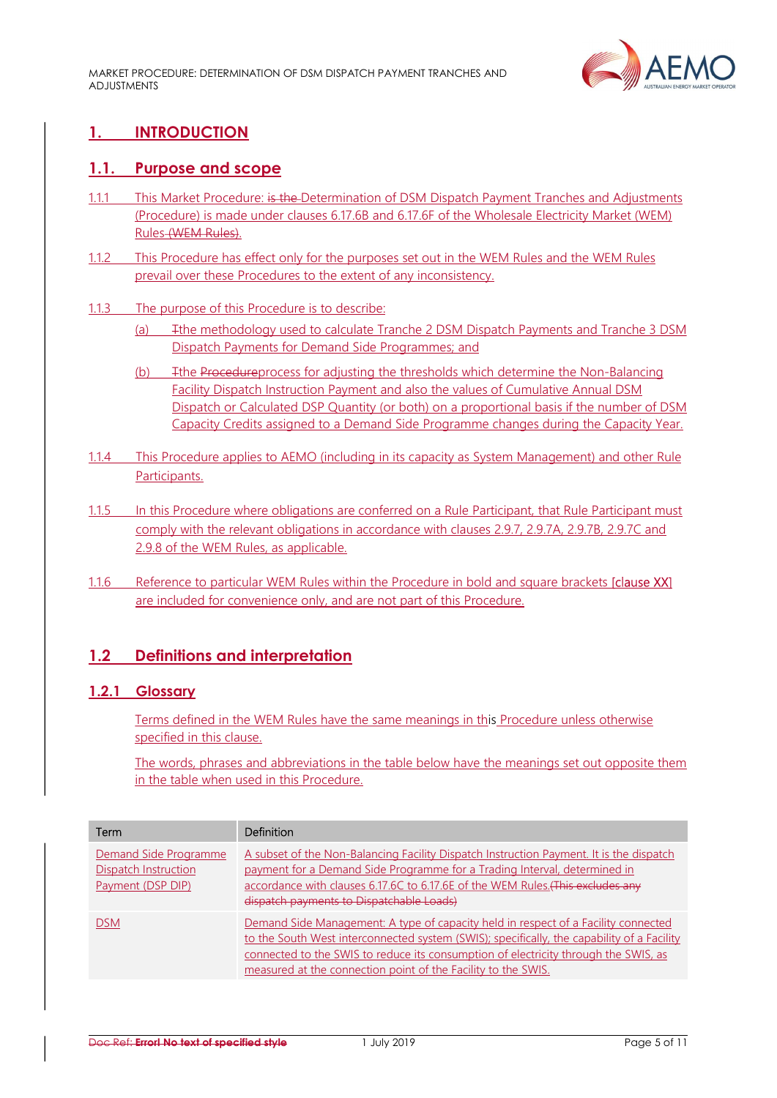

# 1. INTRODUCTION

## 1.1. Purpose and scope

- 111. This Market Procedure: is the Determination of DSM Dispatch Payment Tranches and Adjustments (Procedure) is made under clauses 6.17.6B and 6.17.6F of the Wholesale Electricity Market (WEM) Rules (WEM Rules).
- 1.1.2 This Procedure has effect only for the purposes set out in the WEM Rules and the WEM Rules prevail over these Procedures to the extent of any inconsistency.
- 1.1.3 The purpose of this Procedure is to describe:
	- (a) Tthe methodology used to calculate Tranche 2 DSM Dispatch Payments and Tranche 3 DSM Dispatch Payments for Demand Side Programmes; and
	- (b) Tthe Procedureprocess for adjusting the thresholds which determine the Non-Balancing Facility Dispatch Instruction Payment and also the values of Cumulative Annual DSM Dispatch or Calculated DSP Quantity (or both) on a proportional basis if the number of DSM Capacity Credits assigned to a Demand Side Programme changes during the Capacity Year.
- 1.1.4 This Procedure applies to AEMO (including in its capacity as System Management) and other Rule Participants.
- 1.1.5 In this Procedure where obligations are conferred on a Rule Participant, that Rule Participant must comply with the relevant obligations in accordance with clauses 2.9.7, 2.9.7A, 2.9.7B, 2.9.7C and 2.9.8 of the WEM Rules, as applicable.
- 1.1.6 Reference to particular WEM Rules within the Procedure in bold and square brackets **[clause XX]** are included for convenience only, and are not part of this Procedure.

## 1.2 Definitions and interpretation

#### 1.2.1 Glossary

Terms defined in the WEM Rules have the same meanings in this Procedure unless otherwise specified in this clause.

The words, phrases and abbreviations in the table below have the meanings set out opposite them in the table when used in this Procedure.

| Term                                                                      | <b>Definition</b>                                                                                                                                                                                                                                                                                                                        |
|---------------------------------------------------------------------------|------------------------------------------------------------------------------------------------------------------------------------------------------------------------------------------------------------------------------------------------------------------------------------------------------------------------------------------|
| Demand Side Programme<br><b>Dispatch Instruction</b><br>Payment (DSP DIP) | A subset of the Non-Balancing Facility Dispatch Instruction Payment. It is the dispatch<br>payment for a Demand Side Programme for a Trading Interval, determined in<br>accordance with clauses 6.17.6C to 6.17.6E of the WEM Rules.(This excludes any<br>dispatch payments to Dispatchable Loads)                                       |
| <b>DSM</b>                                                                | Demand Side Management: A type of capacity held in respect of a Facility connected<br>to the South West interconnected system (SWIS); specifically, the capability of a Facility<br>connected to the SWIS to reduce its consumption of electricity through the SWIS, as<br>measured at the connection point of the Facility to the SWIS. |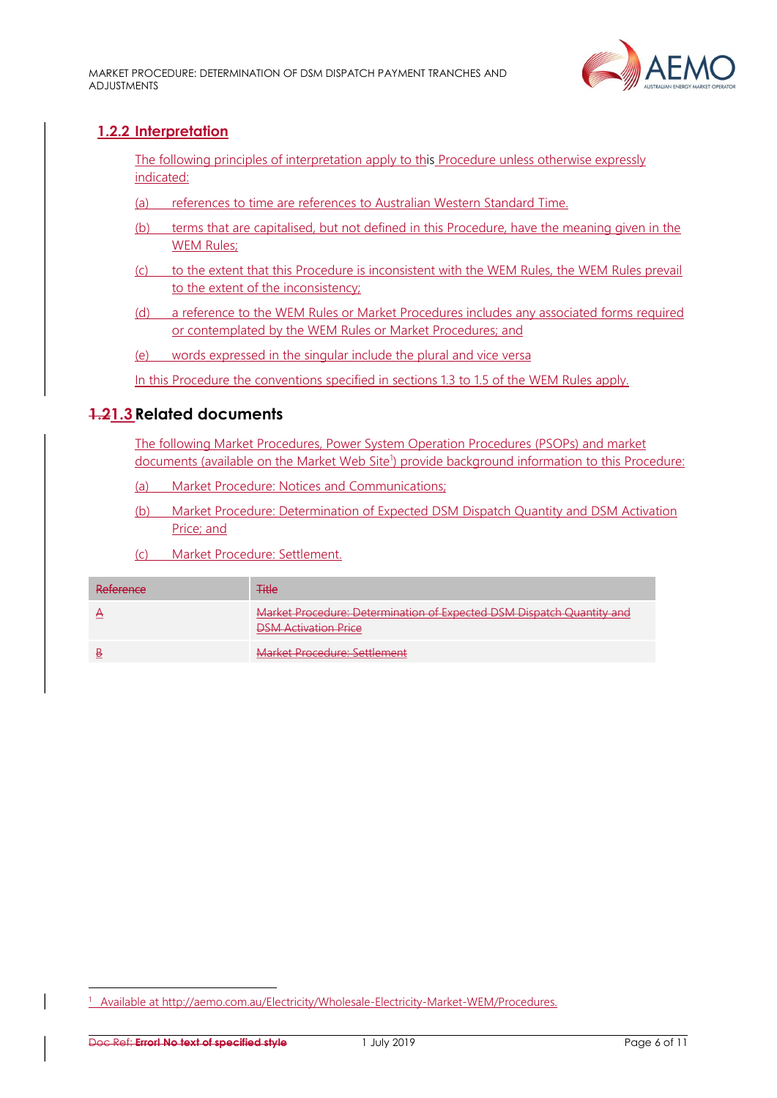

# 1.2.2 Interpretation

The following principles of interpretation apply to this Procedure unless otherwise expressly indicated:

- (a) references to time are references to Australian Western Standard Time.
- (b) terms that are capitalised, but not defined in this Procedure, have the meaning given in the WEM Rules;
- (c) to the extent that this Procedure is inconsistent with the WEM Rules, the WEM Rules prevail to the extent of the inconsistency;
- (d) a reference to the WEM Rules or Market Procedures includes any associated forms required or contemplated by the WEM Rules or Market Procedures; and
- (e) words expressed in the singular include the plural and vice versa

In this Procedure the conventions specified in sections 1.3 to 1.5 of the WEM Rules apply.

## 1.21.3 Related documents

The following Market Procedures, Power System Operation Procedures (PSOPs) and market documents (available on the Market Web Site<sup>1</sup>) provide background information to this Procedure:

- (a) Market Procedure: Notices and Communications;
- (b) Market Procedure: Determination of Expected DSM Dispatch Quantity and DSM Activation Price; and
- (c) Market Procedure: Settlement.

| <b>Peference</b><br><del>ncient rec</del> | <b>Title</b>                                                                                         |
|-------------------------------------------|------------------------------------------------------------------------------------------------------|
|                                           | Market Procedure: Determination of Expected DSM Dispatch Quantity and<br><b>DSM Activation Price</b> |
|                                           | Market Procedure: Settlement                                                                         |

-

<sup>&</sup>lt;sup>1</sup> Available at http://aemo.com.au/Electricity/Wholesale-Electricity-Market-WEM/Procedures.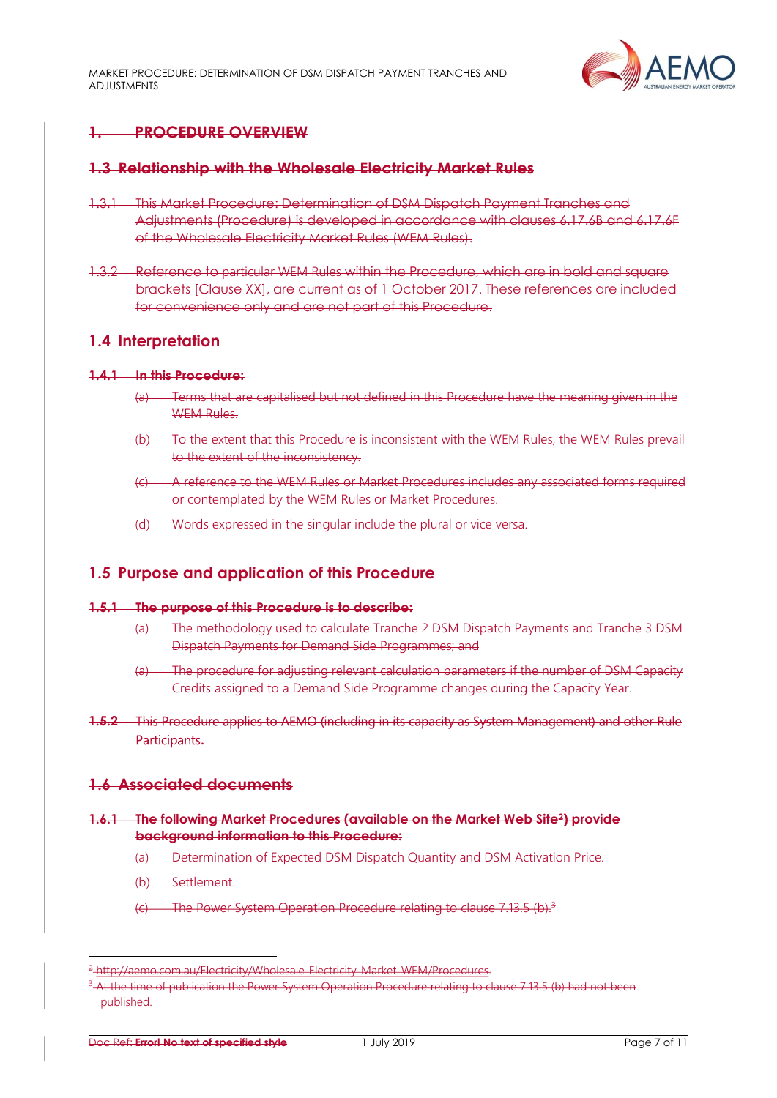

# 1. PROCEDURE OVERVIEW

## 1.3 Relationship with the Wholesale Electricity Market Rules

- 1.3.1 This Market Procedure: Determination of DSM Dispatch Payment Tranches and Adjustments (Procedure) is developed in accordance with clauses 6.17.6B and 6.17.6F of the Wholesale Electricity Market Rules (WEM Rules).
- 1.3.2 Reference to particular WEM Rules within the Procedure, which are in bold and square brackets [Clause XX], are current as of 1 October 2017. These references are included for convenience only and are not part of this Procedure.

# 1.4 Interpretation

#### 1.4.1 In this Procedure:

- (a) Terms that are capitalised but not defined in this Procedure have the meaning given in the WEM Rules.
- (b) To the extent that this Procedure is inconsistent with the WEM Rules, the WEM Rules prevail to the extent of the inconsistency.
- (c) A reference to the WEM Rules or Market Procedures includes any associated forms required or contemplated by the WEM Rules or Market Procedures.
- (d) Words expressed in the singular include the plural or vice versa.

## 1.5 Purpose and application of this Procedure

#### 1.5.1 The purpose of this Procedure is to describe:

- (a) The methodology used to calculate Tranche 2 DSM Dispatch Payments and Tranche 3 DSM Dispatch Payments for Demand Side Programmes; and
- (a) The procedure for adjusting relevant calculation parameters if the number of DSM Capacity Credits assigned to a Demand Side Programme changes during the Capacity Year.

#### 1.5.2 This Procedure applies to AEMO (including in its capacity as System Management) and other Rule Participants.

## 1.6 Associated documents

1.6.1 The following Market Procedures (available on the Market Web Site2) provide background information to this Procedure:

(a) Determination of Expected DSM Dispatch Quantity and DSM Activation Price.

(b) Settlement.

-

 $(c)$  The Power System Operation Procedure relating to clause 7.13.5 (b).<sup>3</sup>

<sup>&</sup>lt;sup>2</sup> http://aemo.com.au/Electricity/Wholesale-Electricity-Market-WEM/Procedures.

<sup>&</sup>lt;sup>3</sup> At the time of publication the Power System Operation Procedure relating to clause 7.13.5 (b) had not been published.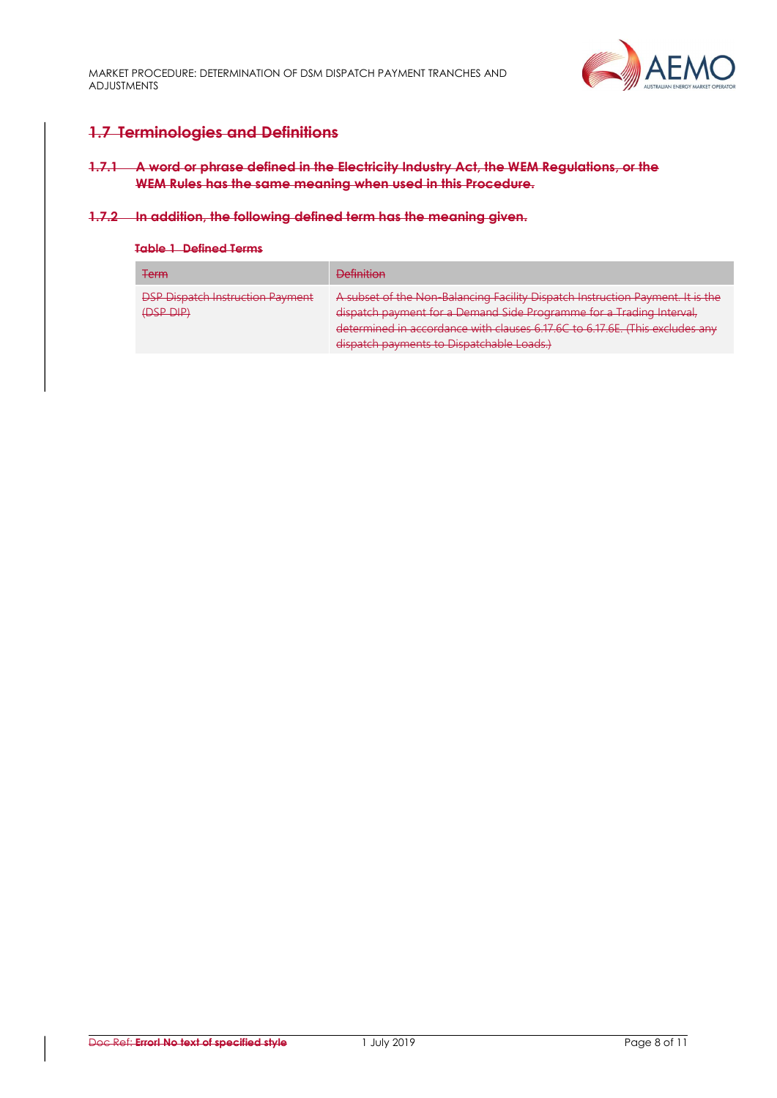

# 1.7 Terminologies and Definitions

1.7.1 A word or phrase defined in the Electricity Industry Act, the WEM Regulations, or the WEM Rules has the same meaning when used in this Procedure.

#### 1.7.2 In addition, the following defined term has the meaning given.

#### Table 1 Defined Terms

| Term                                    | Definition                                                                     |
|-----------------------------------------|--------------------------------------------------------------------------------|
| <b>DSP Dispatch Instruction Payment</b> | A subset of the Non-Balancing Facility Dispatch Instruction Payment. It is the |
| (DSP DIP)                               | dispatch payment for a Demand Side Programme for a Trading Interval,           |
|                                         | determined in accordance with clauses 6.17.6C to 6.17.6E. (This excludes any   |
|                                         | dispatch payments to Dispatchable Loads.)                                      |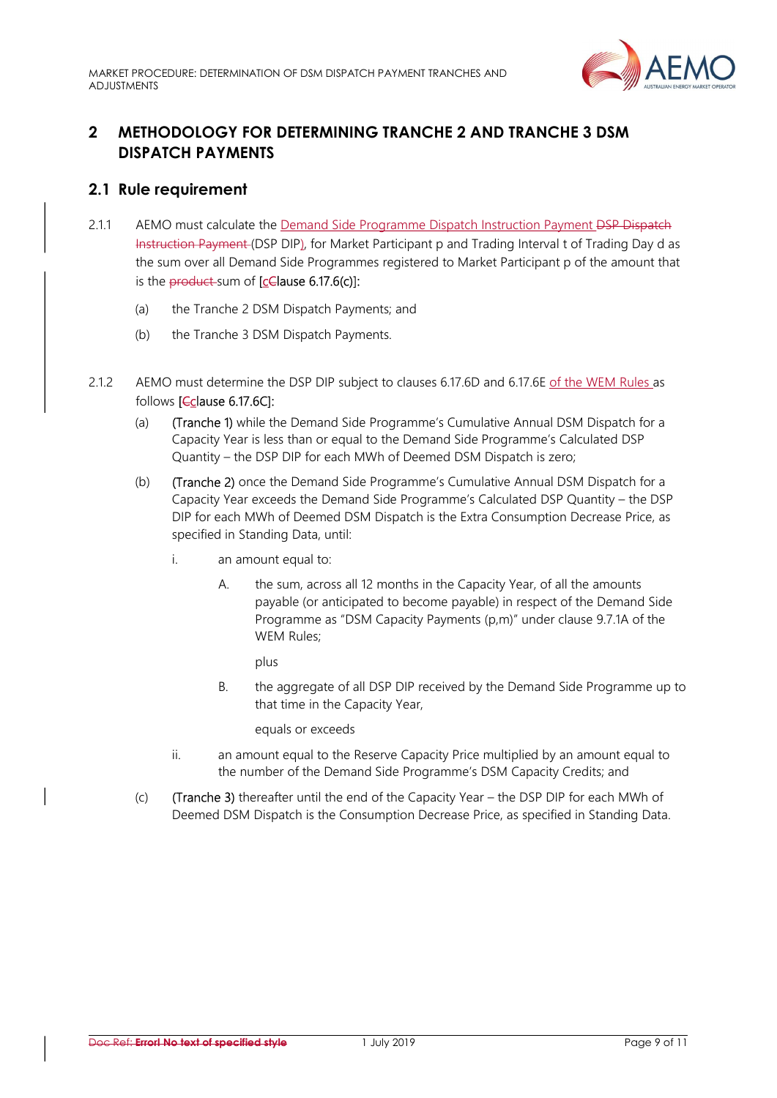

# 2 METHODOLOGY FOR DETERMINING TRANCHE 2 AND TRANCHE 3 DSM DISPATCH PAYMENTS

## 2.1 Rule requirement

- 2.1.1 AEMO must calculate the Demand Side Programme Dispatch Instruction Payment DSP Dispatch Instruction Payment (DSP DIP), for Market Participant p and Trading Interval t of Trading Day d as the sum over all Demand Side Programmes registered to Market Participant p of the amount that is the  $product$ -sum of  $[c\text{Clause 6.17.6(c)}]$ :
	- (a) the Tranche 2 DSM Dispatch Payments; and
	- (b) the Tranche 3 DSM Dispatch Payments.
- 2.1.2 AEMO must determine the DSP DIP subject to clauses 6.17.6D and 6.17.6E of the WEM Rules as follows [Cclause 6.17.6C]:
	- (a) (Tranche 1) while the Demand Side Programme's Cumulative Annual DSM Dispatch for a Capacity Year is less than or equal to the Demand Side Programme's Calculated DSP Quantity – the DSP DIP for each MWh of Deemed DSM Dispatch is zero;
	- (b) (Tranche 2) once the Demand Side Programme's Cumulative Annual DSM Dispatch for a Capacity Year exceeds the Demand Side Programme's Calculated DSP Quantity – the DSP DIP for each MWh of Deemed DSM Dispatch is the Extra Consumption Decrease Price, as specified in Standing Data, until:
		- i. an amount equal to:
			- A. the sum, across all 12 months in the Capacity Year, of all the amounts payable (or anticipated to become payable) in respect of the Demand Side Programme as "DSM Capacity Payments (p,m)" under clause 9.7.1A of the WEM Rules;
				- plus
			- B. the aggregate of all DSP DIP received by the Demand Side Programme up to that time in the Capacity Year,

equals or exceeds

- ii. an amount equal to the Reserve Capacity Price multiplied by an amount equal to the number of the Demand Side Programme's DSM Capacity Credits; and
- (c) (Tranche 3) thereafter until the end of the Capacity Year the DSP DIP for each MWh of Deemed DSM Dispatch is the Consumption Decrease Price, as specified in Standing Data.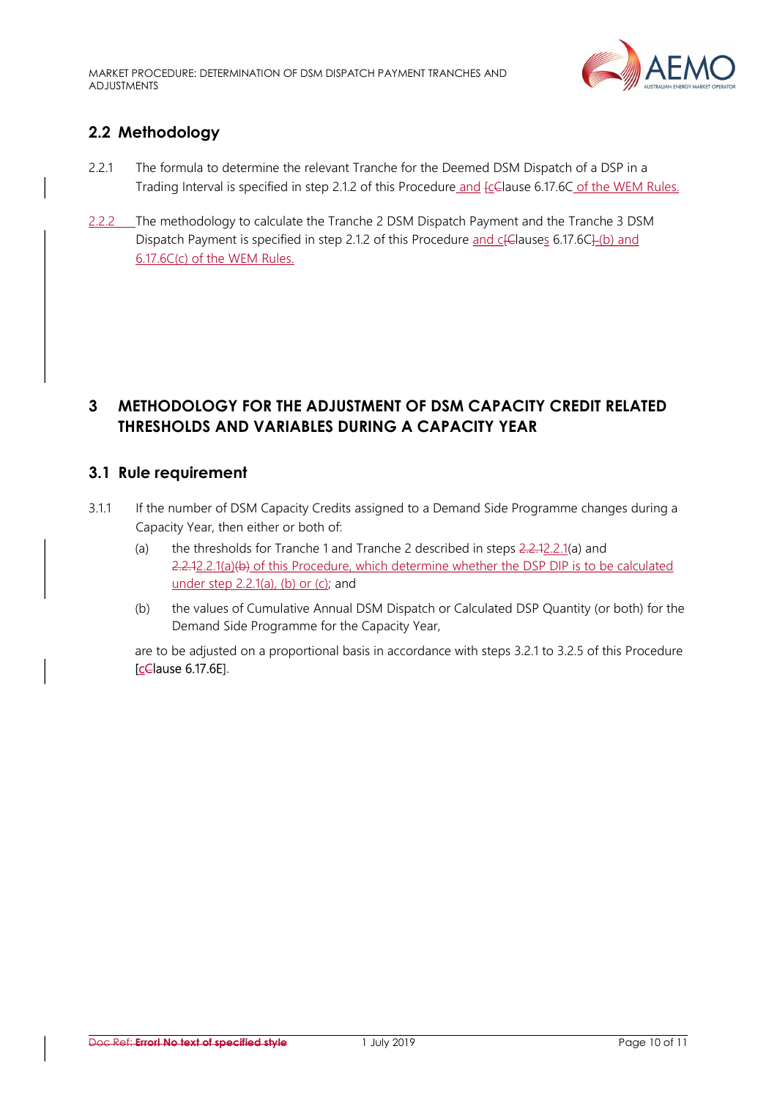

# 2.2 Methodology

- 2.2.1 The formula to determine the relevant Tranche for the Deemed DSM Dispatch of a DSP in a Trading Interval is specified in step 2.1.2 of this Procedure and [ce]ause 6.17.6C of the WEM Rules.
- 2.2.2 The methodology to calculate the Tranche 2 DSM Dispatch Payment and the Tranche 3 DSM Dispatch Payment is specified in step 2.1.2 of this Procedure and c[Clauses 6.17.6C] (b) and 6.17.6C(c) of the WEM Rules.

# 3 METHODOLOGY FOR THE ADJUSTMENT OF DSM CAPACITY CREDIT RELATED THRESHOLDS AND VARIABLES DURING A CAPACITY YEAR

## 3.1 Rule requirement

- 3.1.1 If the number of DSM Capacity Credits assigned to a Demand Side Programme changes during a Capacity Year, then either or both of:
	- (a) the thresholds for Tranche 1 and Tranche 2 described in steps 2.2.12.2.1(a) and  $2.2.12.2.1(a)(b)$  of this Procedure, which determine whether the DSP DIP is to be calculated under step 2.2.1(a), (b) or (c); and
	- (b) the values of Cumulative Annual DSM Dispatch or Calculated DSP Quantity (or both) for the Demand Side Programme for the Capacity Year,

are to be adjusted on a proportional basis in accordance with steps 3.2.1 to 3.2.5 of this Procedure [cClause 6.17.6E].